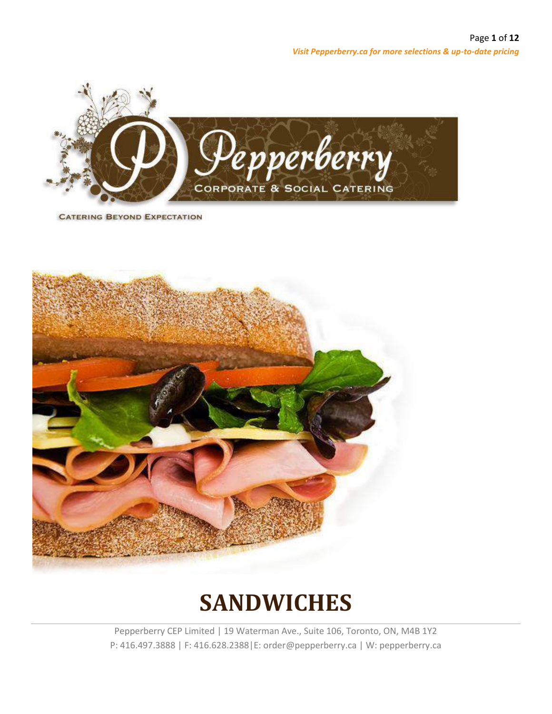

**CATERING BEYOND EXPECTATION** 



# **SANDWICHES**

Pepperberry CEP Limited | 19 Waterman Ave., Suite 106, Toronto, ON, M4B 1Y2 P: 416.497.3888 | F: 416.628.2388|E: order@pepperberry.ca | W: pepperberry.ca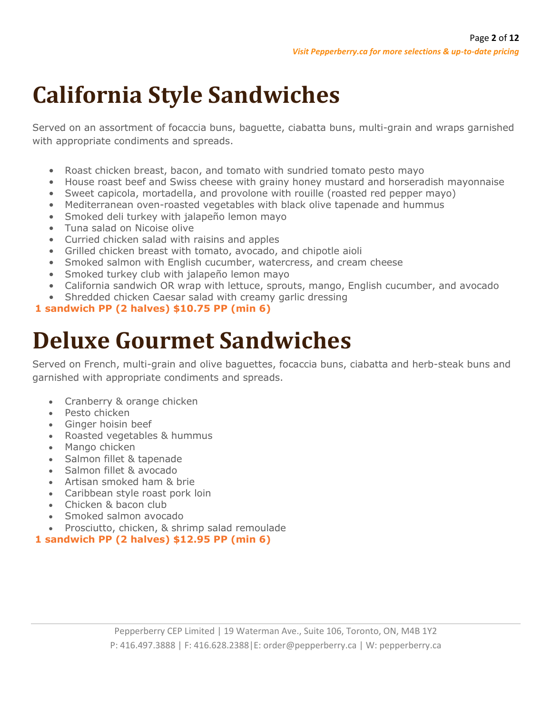# **California Style Sandwiches**

Served on an assortment of focaccia buns, baguette, ciabatta buns, multi-grain and wraps garnished with appropriate condiments and spreads.

- Roast chicken breast, bacon, and tomato with sundried tomato pesto mayo
- House roast beef and Swiss cheese with grainy honey mustard and horseradish mayonnaise
- Sweet capicola, mortadella, and provolone with rouille (roasted red pepper mayo)
- Mediterranean oven-roasted vegetables with black olive tapenade and hummus
- Smoked deli turkey with jalapeño lemon mayo
- Tuna salad on Nicoise olive
- Curried chicken salad with raisins and apples
- Grilled chicken breast with tomato, avocado, and chipotle aioli
- Smoked salmon with English cucumber, watercress, and cream cheese
- Smoked turkey club with jalapeño lemon mayo
- California sandwich OR wrap with lettuce, sprouts, mango, English cucumber, and avocado
- Shredded chicken Caesar salad with creamy garlic dressing

#### **1 sandwich PP (2 halves) \$10.75 PP (min 6)**

## **Deluxe Gourmet Sandwiches**

Served on French, multi-grain and olive baguettes, focaccia buns, ciabatta and herb-steak buns and garnished with appropriate condiments and spreads.

- Cranberry & orange chicken
- Pesto chicken
- Ginger hoisin beef
- Roasted vegetables & hummus
- Mango chicken
- Salmon fillet & tapenade
- Salmon fillet & avocado
- Artisan smoked ham & brie
- Caribbean style roast pork loin
- Chicken & bacon club
- Smoked salmon avocado
- Prosciutto, chicken, & shrimp salad remoulade
- **1 sandwich PP (2 halves) \$12.95 PP (min 6)**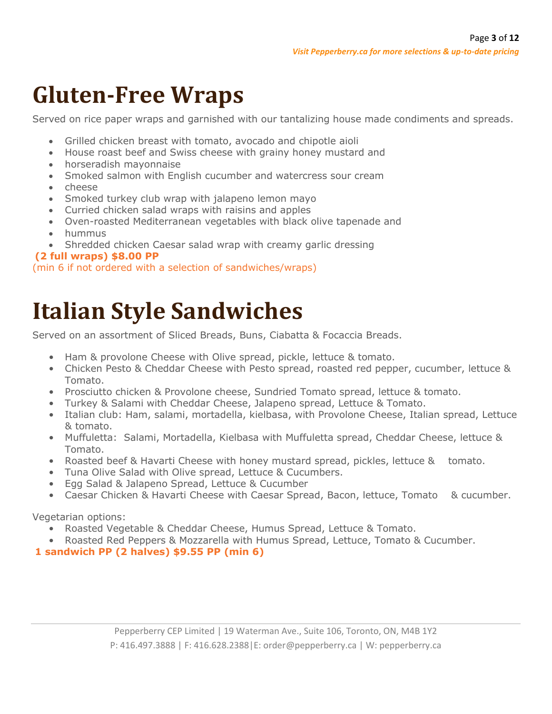# **Gluten-Free Wraps**

Served on rice paper wraps and garnished with our tantalizing house made condiments and spreads.

- Grilled chicken breast with tomato, avocado and chipotle aioli
- House roast beef and Swiss cheese with grainy honey mustard and
- horseradish mayonnaise
- Smoked salmon with English cucumber and watercress sour cream
- cheese
- Smoked turkey club wrap with jalapeno lemon mayo
- Curried chicken salad wraps with raisins and apples
- Oven-roasted Mediterranean vegetables with black olive tapenade and
- hummus
- Shredded chicken Caesar salad wrap with creamy garlic dressing

#### **(2 full wraps) \$8.00 PP**

(min 6 if not ordered with a selection of sandwiches/wraps)

# **Italian Style Sandwiches**

Served on an assortment of Sliced Breads, Buns, Ciabatta & Focaccia Breads.

- Ham & provolone Cheese with Olive spread, pickle, lettuce & tomato.
- Chicken Pesto & Cheddar Cheese with Pesto spread, roasted red pepper, cucumber, lettuce & Tomato.
- Prosciutto chicken & Provolone cheese, Sundried Tomato spread, lettuce & tomato.
- Turkey & Salami with Cheddar Cheese, Jalapeno spread, Lettuce & Tomato.
- Italian club: Ham, salami, mortadella, kielbasa, with Provolone Cheese, Italian spread, Lettuce & tomato.
- Muffuletta: Salami, Mortadella, Kielbasa with Muffuletta spread, Cheddar Cheese, lettuce & Tomato.
- Roasted beef & Havarti Cheese with honey mustard spread, pickles, lettuce & tomato.
- Tuna Olive Salad with Olive spread, Lettuce & Cucumbers.
- Egg Salad & Jalapeno Spread, Lettuce & Cucumber
- Caesar Chicken & Havarti Cheese with Caesar Spread, Bacon, lettuce, Tomato & cucumber.

Vegetarian options:

- Roasted Vegetable & Cheddar Cheese, Humus Spread, Lettuce & Tomato.
- Roasted Red Peppers & Mozzarella with Humus Spread, Lettuce, Tomato & Cucumber.

#### **1 sandwich PP (2 halves) \$9.55 PP (min 6)**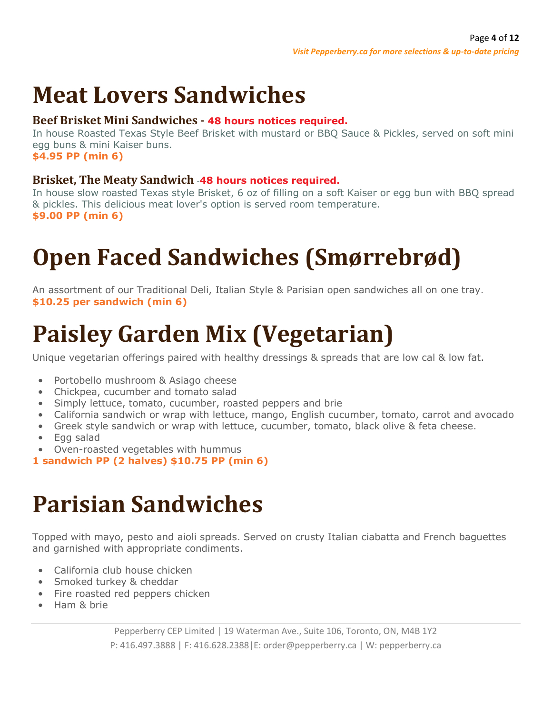# **Meat Lovers Sandwiches**

#### **Beef Brisket Mini Sandwiches - 48 hours notices required.**

In house Roasted Texas Style Beef Brisket with mustard or BBQ Sauce & Pickles, served on soft mini egg buns & mini Kaiser buns. **\$4.95 PP (min 6)**

**Brisket, The Meaty Sandwich** -**48 hours notices required.**

In house slow roasted Texas style Brisket, 6 oz of filling on a soft Kaiser or egg bun with BBQ spread & pickles. This delicious meat lover's option is served room temperature. **\$9.00 PP (min 6)**

# **Open Faced Sandwiches (Smørrebrød)**

An assortment of our Traditional Deli, Italian Style & Parisian open sandwiches all on one tray. **\$10.25 per sandwich (min 6)**

# **Paisley Garden Mix (Vegetarian)**

Unique vegetarian offerings paired with healthy dressings & spreads that are low cal & low fat.

- Portobello mushroom & Asiago cheese
- Chickpea, cucumber and tomato salad
- Simply lettuce, tomato, cucumber, roasted peppers and brie
- California sandwich or wrap with lettuce, mango, English cucumber, tomato, carrot and avocado
- Greek style sandwich or wrap with lettuce, cucumber, tomato, black olive & feta cheese.
- Egg salad
- Oven-roasted vegetables with hummus

**1 sandwich PP (2 halves) \$10.75 PP (min 6)**

## **Parisian Sandwiches**

Topped with mayo, pesto and aioli spreads. Served on crusty Italian ciabatta and French baguettes and garnished with appropriate condiments.

- California club house chicken
- Smoked turkey & cheddar
- Fire roasted red peppers chicken
- Ham & brie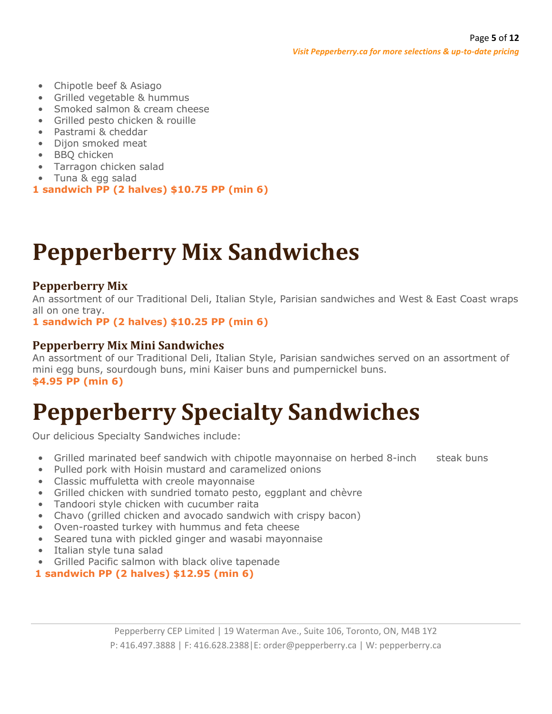- Chipotle beef & Asiago
- Grilled vegetable & hummus
- Smoked salmon & cream cheese
- Grilled pesto chicken & rouille
- Pastrami & cheddar
- Dijon smoked meat
- BBQ chicken
- Tarragon chicken salad
- Tuna & egg salad
- **1 sandwich PP (2 halves) \$10.75 PP (min 6)**

# **Pepperberry Mix Sandwiches**

## **Pepperberry Mix**

An assortment of our Traditional Deli, Italian Style, Parisian sandwiches and West & East Coast wraps all on one tray.

**1 sandwich PP (2 halves) \$10.25 PP (min 6)**

#### **Pepperberry Mix Mini Sandwiches**

An assortment of our Traditional Deli, Italian Style, Parisian sandwiches served on an assortment of mini egg buns, sourdough buns, mini Kaiser buns and pumpernickel buns. **\$4.95 PP (min 6)**

# **Pepperberry Specialty Sandwiches**

Our delicious Specialty Sandwiches include:

- Grilled marinated beef sandwich with chipotle mayonnaise on herbed 8-inch steak buns
- Pulled pork with Hoisin mustard and caramelized onions
- Classic muffuletta with creole mayonnaise
- Grilled chicken with sundried tomato pesto, eggplant and chèvre
- Tandoori style chicken with cucumber raita
- Chavo (grilled chicken and avocado sandwich with crispy bacon)
- Oven-roasted turkey with hummus and feta cheese
- Seared tuna with pickled ginger and wasabi mayonnaise
- Italian style tuna salad
- Grilled Pacific salmon with black olive tapenade
- **1 sandwich PP (2 halves) \$12.95 (min 6)**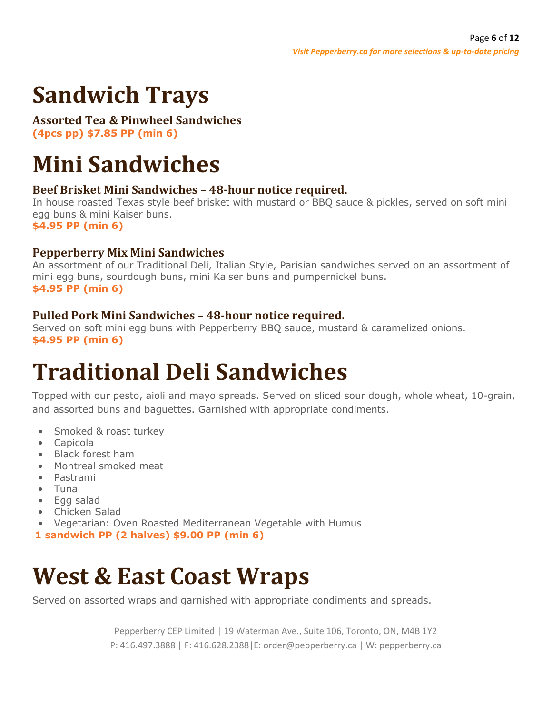# **Sandwich Trays**

## **Assorted Tea & Pinwheel Sandwiches**

**(4pcs pp) \$7.85 PP (min 6)**

# **Mini Sandwiches**

## **Beef Brisket Mini Sandwiches – 48-hour notice required.**

In house roasted Texas style beef brisket with mustard or BBQ sauce & pickles, served on soft mini egg buns & mini Kaiser buns. **\$4.95 PP (min 6)**

### **Pepperberry Mix Mini Sandwiches**

An assortment of our Traditional Deli, Italian Style, Parisian sandwiches served on an assortment of mini egg buns, sourdough buns, mini Kaiser buns and pumpernickel buns. **\$4.95 PP (min 6)**

## **Pulled Pork Mini Sandwiches – 48-hour notice required.**

Served on soft mini egg buns with Pepperberry BBQ sauce, mustard & caramelized onions. **\$4.95 PP (min 6)**

# **Traditional Deli Sandwiches**

Topped with our pesto, aioli and mayo spreads. Served on sliced sour dough, whole wheat, 10-grain, and assorted buns and baguettes. Garnished with appropriate condiments.

- Smoked & roast turkey
- Capicola
- Black forest ham
- Montreal smoked meat
- Pastrami
- Tuna
- Egg salad
- Chicken Salad
- Vegetarian: Oven Roasted Mediterranean Vegetable with Humus
- **1 sandwich PP (2 halves) \$9.00 PP (min 6)**

# **West & East Coast Wraps**

Served on assorted wraps and garnished with appropriate condiments and spreads.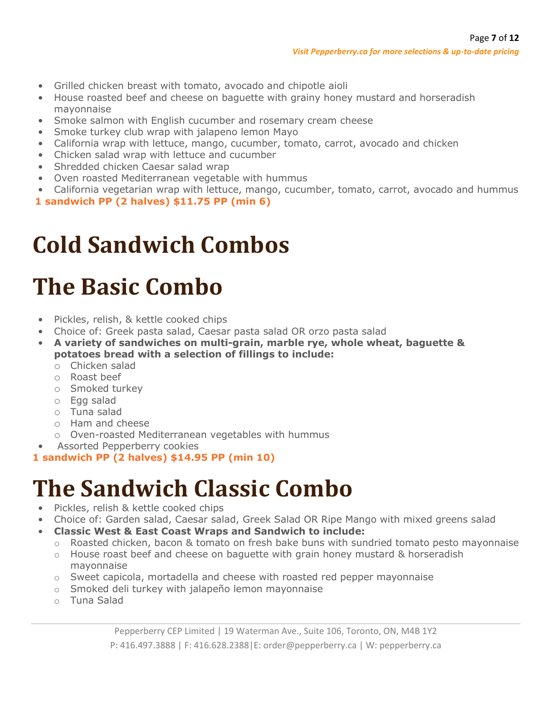- Grilled chicken breast with tomato, avocado and chipotle aioli
- House roasted beef and cheese on baguette with grainy honey mustard and horseradish mayonnaise
- Smoke salmon with English cucumber and rosemary cream cheese
- Smoke turkey club wrap with jalapeno lemon Mayo
- California wrap with lettuce, mango, cucumber, tomato, carrot, avocado and chicken
- Chicken salad wrap with lettuce and cucumber
- Shredded chicken Caesar salad wrap
- Oven roasted Mediterranean vegetable with hummus
- California vegetarian wrap with lettuce, mango, cucumber, tomato, carrot, avocado and hummus
- **1 sandwich PP (2 halves) \$11.75 PP (min 6)**

## **Cold Sandwich Combos**

# **The Basic Combo**

- Pickles, relish, & kettle cooked chips
- Choice of: Greek pasta salad, Caesar pasta salad OR orzo pasta salad
- **A variety of sandwiches on multi-grain, marble rye, whole wheat, baguette & potatoes bread with a selection of fillings to include:**
	- o Chicken salad
	- o Roast beef
	- o Smoked turkey
	- o Egg salad
	- o Tuna salad
	- o Ham and cheese
	- o Oven-roasted Mediterranean vegetables with hummus
- Assorted Pepperberry cookies
- **1 sandwich PP (2 halves) \$14.95 PP (min 10)**

# **The Sandwich Classic Combo**

- Pickles, relish & kettle cooked chips
- Choice of: Garden salad, Caesar salad, Greek Salad OR Ripe Mango with mixed greens salad
- **Classic West & East Coast Wraps and Sandwich to include:**
	- o Roasted chicken, bacon & tomato on fresh bake buns with sundried tomato pesto mayonnaise
	- $\circ$  House roast beef and cheese on baguette with grain honey mustard & horseradish mayonnaise
	- $\circ$  Sweet capicola, mortadella and cheese with roasted red pepper mayonnaise
	- o Smoked deli turkey with jalapeño lemon mayonnaise
	- o Tuna Salad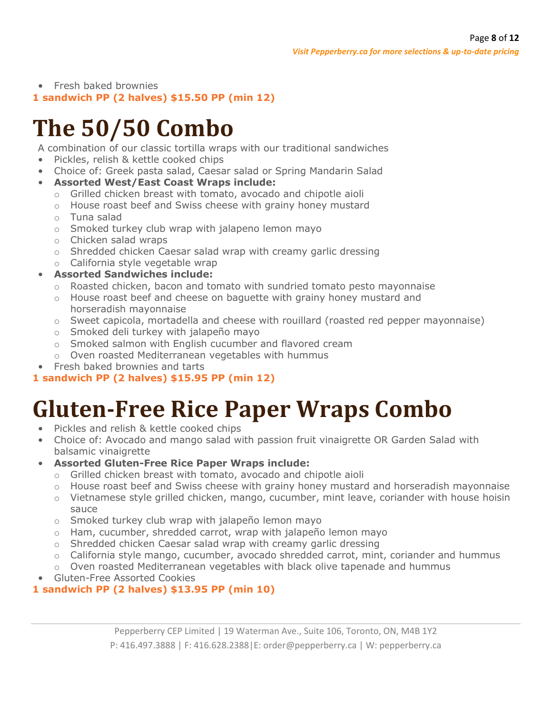#### • Fresh baked brownies **1 sandwich PP (2 halves) \$15.50 PP (min 12)**

# **The 50/50 Combo**

A combination of our classic tortilla wraps with our traditional sandwiches

- Pickles, relish & kettle cooked chips
- Choice of: Greek pasta salad, Caesar salad or Spring Mandarin Salad
- **Assorted West/East Coast Wraps include:**
	- o Grilled chicken breast with tomato, avocado and chipotle aioli
	- o House roast beef and Swiss cheese with grainy honey mustard
	- o Tuna salad
	- o Smoked turkey club wrap with jalapeno lemon mayo
	- o Chicken salad wraps
	- o Shredded chicken Caesar salad wrap with creamy garlic dressing
	- o California style vegetable wrap
- **Assorted Sandwiches include:**
	- $\circ$  Roasted chicken, bacon and tomato with sundried tomato pesto mayonnaise
	- o House roast beef and cheese on baguette with grainy honey mustard and horseradish mayonnaise
	- $\circ$  Sweet capicola, mortadella and cheese with rouillard (roasted red pepper mayonnaise)
	- o Smoked deli turkey with jalapeño mayo
	- o Smoked salmon with English cucumber and flavored cream
	- o Oven roasted Mediterranean vegetables with hummus
- Fresh baked brownies and tarts

## **1 sandwich PP (2 halves) \$15.95 PP (min 12)**

# **Gluten-Free Rice Paper Wraps Combo**

- Pickles and relish & kettle cooked chips
- Choice of: Avocado and mango salad with passion fruit vinaigrette OR Garden Salad with balsamic vinaigrette
- **Assorted Gluten-Free Rice Paper Wraps include:**
	- o Grilled chicken breast with tomato, avocado and chipotle aioli
	- o House roast beef and Swiss cheese with grainy honey mustard and horseradish mayonnaise
	- $\circ$  Vietnamese style grilled chicken, mango, cucumber, mint leave, coriander with house hoisin sauce
	- o Smoked turkey club wrap with jalapeño lemon mayo
	- o Ham, cucumber, shredded carrot, wrap with jalapeño lemon mayo
	- o Shredded chicken Caesar salad wrap with creamy garlic dressing
	- o California style mango, cucumber, avocado shredded carrot, mint, coriander and hummus
	- $\circ$  Oven roasted Mediterranean vegetables with black olive tapenade and hummus
- Gluten-Free Assorted Cookies

## **1 sandwich PP (2 halves) \$13.95 PP (min 10)**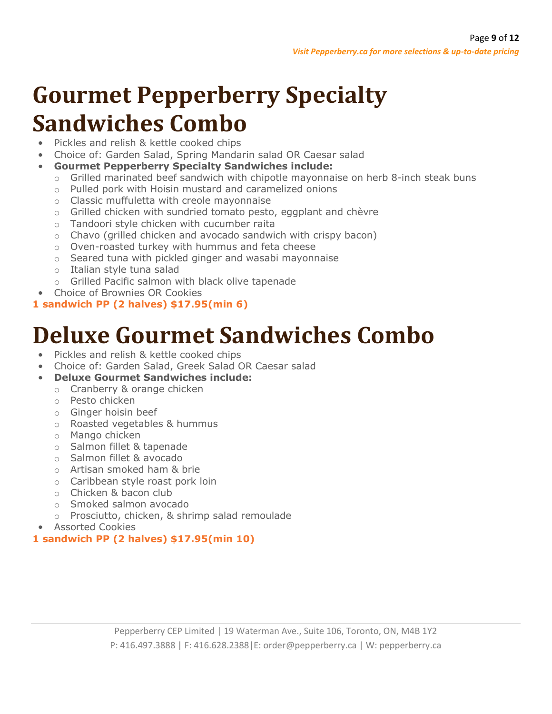# **Gourmet Pepperberry Specialty Sandwiches Combo**

- Pickles and relish & kettle cooked chips
- Choice of: Garden Salad, Spring Mandarin salad OR Caesar salad
- **Gourmet Pepperberry Specialty Sandwiches include:**
	- $\circ$  Grilled marinated beef sandwich with chipotle mayonnaise on herb 8-inch steak buns
	- o Pulled pork with Hoisin mustard and caramelized onions
	- o Classic muffuletta with creole mayonnaise
	- o Grilled chicken with sundried tomato pesto, eggplant and chèvre
	- o Tandoori style chicken with cucumber raita
	- $\circ$  Chavo (grilled chicken and avocado sandwich with crispy bacon)
	- o Oven-roasted turkey with hummus and feta cheese
	- o Seared tuna with pickled ginger and wasabi mayonnaise
	- o Italian style tuna salad
	- o Grilled Pacific salmon with black olive tapenade
- Choice of Brownies OR Cookies

## **1 sandwich PP (2 halves) \$17.95(min 6)**

# **Deluxe Gourmet Sandwiches Combo**

- Pickles and relish & kettle cooked chips
- Choice of: Garden Salad, Greek Salad OR Caesar salad
- **Deluxe Gourmet Sandwiches include:**
	- o Cranberry & orange chicken
	- o Pesto chicken
	- o Ginger hoisin beef
	- o Roasted vegetables & hummus
	- o Mango chicken
	- o Salmon fillet & tapenade
	- o Salmon fillet & avocado
	- o Artisan smoked ham & brie
	- o Caribbean style roast pork loin
	- o Chicken & bacon club
	- o Smoked salmon avocado
	- o Prosciutto, chicken, & shrimp salad remoulade
- Assorted Cookies

## **1 sandwich PP (2 halves) \$17.95(min 10)**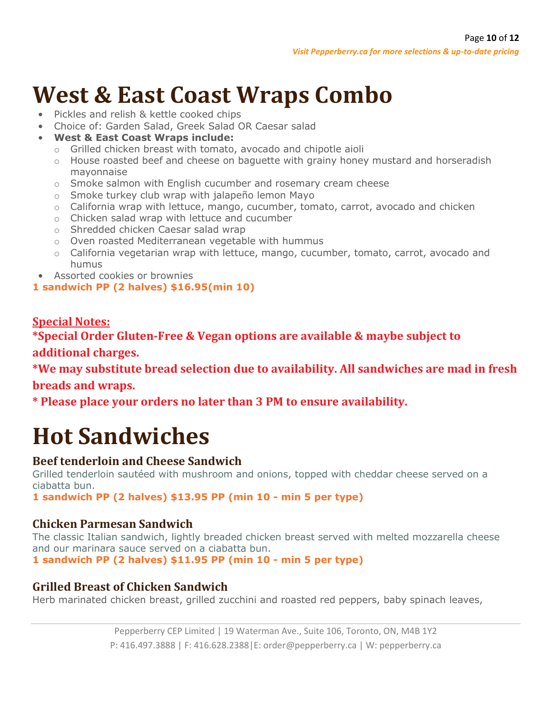# **West & East Coast Wraps Combo**

- Pickles and relish & kettle cooked chips
- Choice of: Garden Salad, Greek Salad OR Caesar salad
- **West & East Coast Wraps include:**
	- o Grilled chicken breast with tomato, avocado and chipotle aioli
	- $\circ$  House roasted beef and cheese on baguette with grainy honey mustard and horseradish mayonnaise
	- o Smoke salmon with English cucumber and rosemary cream cheese
	- o Smoke turkey club wrap with jalapeño lemon Mayo
	- $\circ$  California wrap with lettuce, mango, cucumber, tomato, carrot, avocado and chicken
	- o Chicken salad wrap with lettuce and cucumber
	- o Shredded chicken Caesar salad wrap
	- o Oven roasted Mediterranean vegetable with hummus
	- o California vegetarian wrap with lettuce, mango, cucumber, tomato, carrot, avocado and humus
- Assorted cookies or brownies

### **1 sandwich PP (2 halves) \$16.95(min 10)**

## **Special Notes:**

**\*Special Order Gluten-Free & Vegan options are available & maybe subject to additional charges.**

**\*We may substitute bread selection due to availability. All sandwiches are mad in fresh breads and wraps.** 

**\* Please place your orders no later than 3 PM to ensure availability.**

# **Hot Sandwiches**

## **Beef tenderloin and Cheese Sandwich**

Grilled tenderloin sautéed with mushroom and onions, topped with cheddar cheese served on a ciabatta bun.

**1 sandwich PP (2 halves) \$13.95 PP (min 10 - min 5 per type)**

## **Chicken Parmesan Sandwich**

The classic Italian sandwich, lightly breaded chicken breast served with melted mozzarella cheese and our marinara sauce served on a ciabatta bun.

**1 sandwich PP (2 halves) \$11.95 PP (min 10 - min 5 per type)**

## **Grilled Breast of Chicken Sandwich**

Herb marinated chicken breast, grilled zucchini and roasted red peppers, baby spinach leaves,

Pepperberry CEP Limited | 19 Waterman Ave., Suite 106, Toronto, ON, M4B 1Y2 P: 416.497.3888 | F: 416.628.2388|E: order@pepperberry.ca | W: pepperberry.ca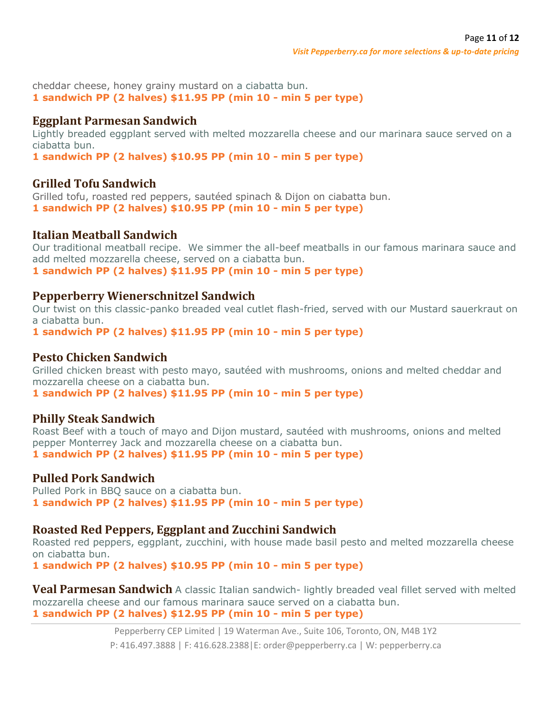cheddar cheese, honey grainy mustard on a ciabatta bun. **1 sandwich PP (2 halves) \$11.95 PP (min 10 - min 5 per type)**

#### **Eggplant Parmesan Sandwich**

Lightly breaded eggplant served with melted mozzarella cheese and our marinara sauce served on a ciabatta bun.

**1 sandwich PP (2 halves) \$10.95 PP (min 10 - min 5 per type)**

#### **Grilled Tofu Sandwich**

Grilled tofu, roasted red peppers, sautéed spinach & Dijon on ciabatta bun. **1 sandwich PP (2 halves) \$10.95 PP (min 10 - min 5 per type)**

#### **Italian Meatball Sandwich**

Our traditional meatball recipe. We simmer the all-beef meatballs in our famous marinara sauce and add melted mozzarella cheese, served on a ciabatta bun. **1 sandwich PP (2 halves) \$11.95 PP (min 10 - min 5 per type)**

#### **Pepperberry Wienerschnitzel Sandwich**

Our twist on this classic-panko breaded veal cutlet flash-fried, served with our Mustard sauerkraut on a ciabatta bun.

**1 sandwich PP (2 halves) \$11.95 PP (min 10 - min 5 per type)**

#### **Pesto Chicken Sandwich**

Grilled chicken breast with pesto mayo, sautéed with mushrooms, onions and melted cheddar and mozzarella cheese on a ciabatta bun.

**1 sandwich PP (2 halves) \$11.95 PP (min 10 - min 5 per type)**

#### **Philly Steak Sandwich**

Roast Beef with a touch of mayo and Dijon mustard, sautéed with mushrooms, onions and melted pepper Monterrey Jack and mozzarella cheese on a ciabatta bun. **1 sandwich PP (2 halves) \$11.95 PP (min 10 - min 5 per type)**

#### **Pulled Pork Sandwich**

Pulled Pork in BBQ sauce on a ciabatta bun. **1 sandwich PP (2 halves) \$11.95 PP (min 10 - min 5 per type)**

#### **Roasted Red Peppers, Eggplant and Zucchini Sandwich**

Roasted red peppers, eggplant, zucchini, with house made basil pesto and melted mozzarella cheese on ciabatta bun.

**1 sandwich PP (2 halves) \$10.95 PP (min 10 - min 5 per type)**

**Veal Parmesan Sandwich** A classic Italian sandwich- lightly breaded veal fillet served with melted mozzarella cheese and our famous marinara sauce served on a ciabatta bun. **1 sandwich PP (2 halves) \$12.95 PP (min 10 - min 5 per type)**

> Pepperberry CEP Limited | 19 Waterman Ave., Suite 106, Toronto, ON, M4B 1Y2 P: 416.497.3888 | F: 416.628.2388|E: order@pepperberry.ca | W: pepperberry.ca